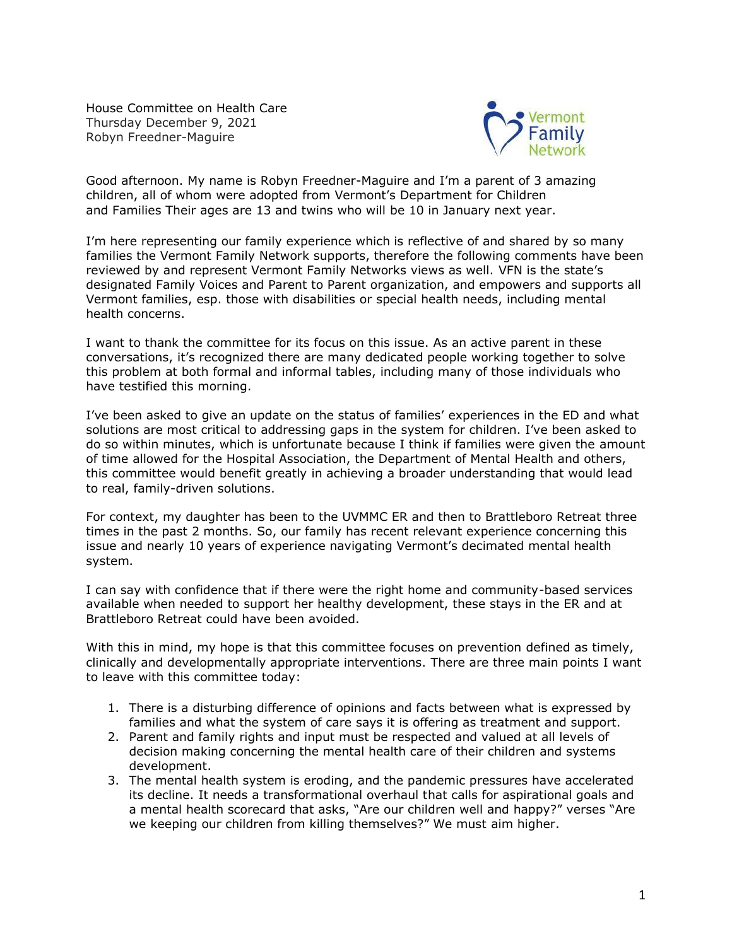House Committee on Health Care Thursday December 9, 2021 Robyn Freedner-Maguire



Good afternoon. My name is Robyn Freedner-Maguire and I'm a parent of 3 amazing children, all of whom were adopted from Vermont's Department for Children and Families Their ages are 13 and twins who will be 10 in January next year.

I'm here representing our family experience which is reflective of and shared by so many families the Vermont Family Network supports, therefore the following comments have been reviewed by and represent Vermont Family Networks views as well. VFN is the state's designated Family Voices and Parent to Parent organization, and empowers and supports all Vermont families, esp. those with disabilities or special health needs, including mental health concerns.

I want to thank the committee for its focus on this issue. As an active parent in these conversations, it's recognized there are many dedicated people working together to solve this problem at both formal and informal tables, including many of those individuals who have testified this morning.

I've been asked to give an update on the status of families' experiences in the ED and what solutions are most critical to addressing gaps in the system for children. I've been asked to do so within minutes, which is unfortunate because I think if families were given the amount of time allowed for the Hospital Association, the Department of Mental Health and others, this committee would benefit greatly in achieving a broader understanding that would lead to real, family-driven solutions.

For context, my daughter has been to the UVMMC ER and then to Brattleboro Retreat three times in the past 2 months. So, our family has recent relevant experience concerning this issue and nearly 10 years of experience navigating Vermont's decimated mental health system.

I can say with confidence that if there were the right home and community-based services available when needed to support her healthy development, these stays in the ER and at Brattleboro Retreat could have been avoided.

With this in mind, my hope is that this committee focuses on prevention defined as timely, clinically and developmentally appropriate interventions. There are three main points I want to leave with this committee today:

- 1. There is a disturbing difference of opinions and facts between what is expressed by families and what the system of care says it is offering as treatment and support.
- 2. Parent and family rights and input must be respected and valued at all levels of decision making concerning the mental health care of their children and systems development.
- 3. The mental health system is eroding, and the pandemic pressures have accelerated its decline. It needs a transformational overhaul that calls for aspirational goals and a mental health scorecard that asks, "Are our children well and happy?" verses "Are we keeping our children from killing themselves?" We must aim higher.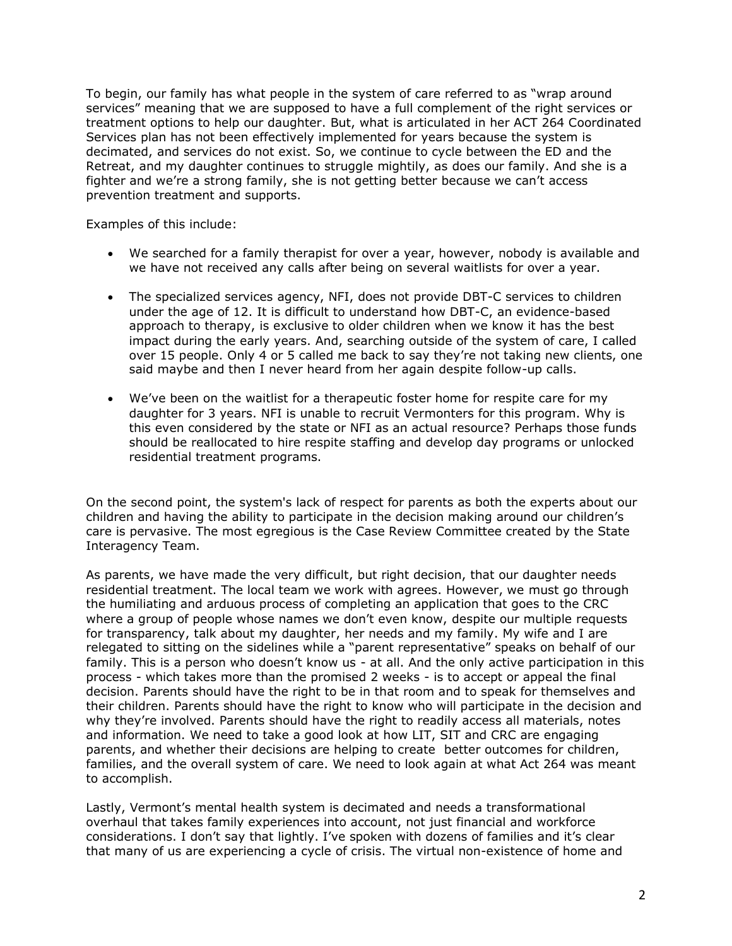To begin, our family has what people in the system of care referred to as "wrap around services" meaning that we are supposed to have a full complement of the right services or treatment options to help our daughter. But, what is articulated in her ACT 264 Coordinated Services plan has not been effectively implemented for years because the system is decimated, and services do not exist. So, we continue to cycle between the ED and the Retreat, and my daughter continues to struggle mightily, as does our family. And she is a fighter and we're a strong family, she is not getting better because we can't access prevention treatment and supports.

Examples of this include:

- We searched for a family therapist for over a year, however, nobody is available and we have not received any calls after being on several waitlists for over a year.
- The specialized services agency, NFI, does not provide DBT-C services to children under the age of 12. It is difficult to understand how DBT-C, an evidence-based approach to therapy, is exclusive to older children when we know it has the best impact during the early years. And, searching outside of the system of care, I called over 15 people. Only 4 or 5 called me back to say they're not taking new clients, one said maybe and then I never heard from her again despite follow-up calls.
- We've been on the waitlist for a therapeutic foster home for respite care for my daughter for 3 years. NFI is unable to recruit Vermonters for this program. Why is this even considered by the state or NFI as an actual resource? Perhaps those funds should be reallocated to hire respite staffing and develop day programs or unlocked residential treatment programs.

On the second point, the system's lack of respect for parents as both the experts about our children and having the ability to participate in the decision making around our children's care is pervasive. The most egregious is the Case Review Committee created by the State Interagency Team.

As parents, we have made the very difficult, but right decision, that our daughter needs residential treatment. The local team we work with agrees. However, we must go through the humiliating and arduous process of completing an application that goes to the CRC where a group of people whose names we don't even know, despite our multiple requests for transparency, talk about my daughter, her needs and my family. My wife and I are relegated to sitting on the sidelines while a "parent representative" speaks on behalf of our family. This is a person who doesn't know us - at all. And the only active participation in this process - which takes more than the promised 2 weeks - is to accept or appeal the final decision. Parents should have the right to be in that room and to speak for themselves and their children. Parents should have the right to know who will participate in the decision and why they're involved. Parents should have the right to readily access all materials, notes and information. We need to take a good look at how LIT, SIT and CRC are engaging parents, and whether their decisions are helping to create better outcomes for children, families, and the overall system of care. We need to look again at what Act 264 was meant to accomplish.

Lastly, Vermont's mental health system is decimated and needs a transformational overhaul that takes family experiences into account, not just financial and workforce considerations. I don't say that lightly. I've spoken with dozens of families and it's clear that many of us are experiencing a cycle of crisis. The virtual non-existence of home and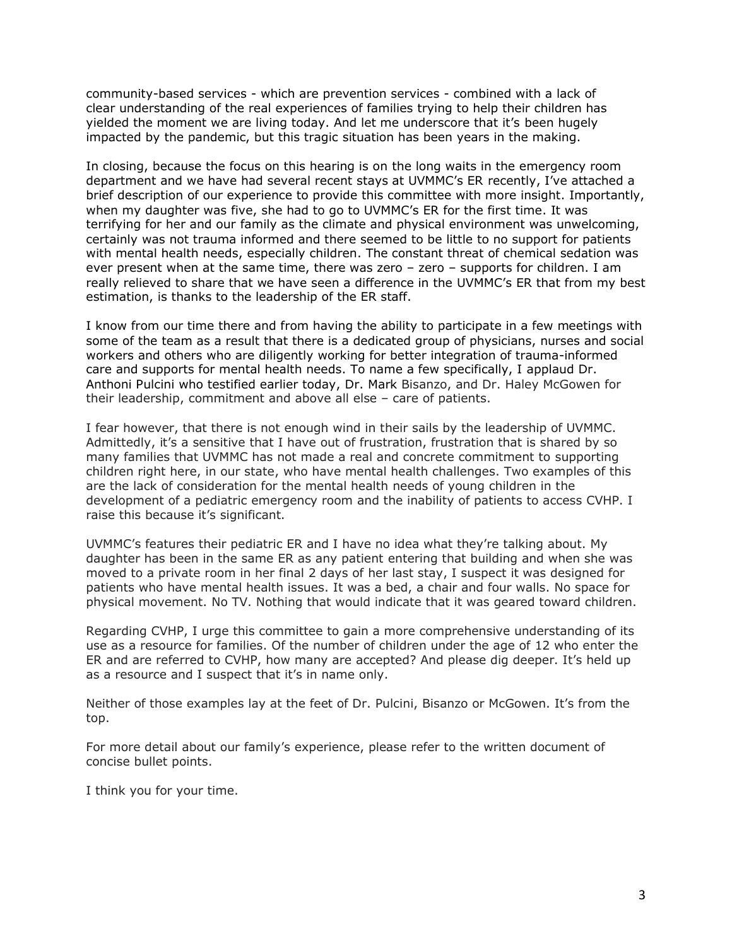community-based services - which are prevention services - combined with a lack of clear understanding of the real experiences of families trying to help their children has yielded the moment we are living today. And let me underscore that it's been hugely impacted by the pandemic, but this tragic situation has been years in the making.

In closing, because the focus on this hearing is on the long waits in the emergency room department and we have had several recent stays at UVMMC's ER recently, I've attached a brief description of our experience to provide this committee with more insight. Importantly, when my daughter was five, she had to go to UVMMC's ER for the first time. It was terrifying for her and our family as the climate and physical environment was unwelcoming, certainly was not trauma informed and there seemed to be little to no support for patients with mental health needs, especially children. The constant threat of chemical sedation was ever present when at the same time, there was zero – zero – supports for children. I am really relieved to share that we have seen a difference in the UVMMC's ER that from my best estimation, is thanks to the leadership of the ER staff.

I know from our time there and from having the ability to participate in a few meetings with some of the team as a result that there is a dedicated group of physicians, nurses and social workers and others who are diligently working for better integration of trauma-informed care and supports for mental health needs. To name a few specifically, I applaud Dr. Anthoni Pulcini who testified earlier today, Dr. Mark Bisanzo, and Dr. Haley McGowen for their leadership, commitment and above all else – care of patients.

I fear however, that there is not enough wind in their sails by the leadership of UVMMC. Admittedly, it's a sensitive that I have out of frustration, frustration that is shared by so many families that UVMMC has not made a real and concrete commitment to supporting children right here, in our state, who have mental health challenges. Two examples of this are the lack of consideration for the mental health needs of young children in the development of a pediatric emergency room and the inability of patients to access CVHP. I raise this because it's significant.

UVMMC's features their pediatric ER and I have no idea what they're talking about. My daughter has been in the same ER as any patient entering that building and when she was moved to a private room in her final 2 days of her last stay, I suspect it was designed for patients who have mental health issues. It was a bed, a chair and four walls. No space for physical movement. No TV. Nothing that would indicate that it was geared toward children.

Regarding CVHP, I urge this committee to gain a more comprehensive understanding of its use as a resource for families. Of the number of children under the age of 12 who enter the ER and are referred to CVHP, how many are accepted? And please dig deeper. It's held up as a resource and I suspect that it's in name only.

Neither of those examples lay at the feet of Dr. Pulcini, Bisanzo or McGowen. It's from the top.

For more detail about our family's experience, please refer to the written document of concise bullet points.

I think you for your time.